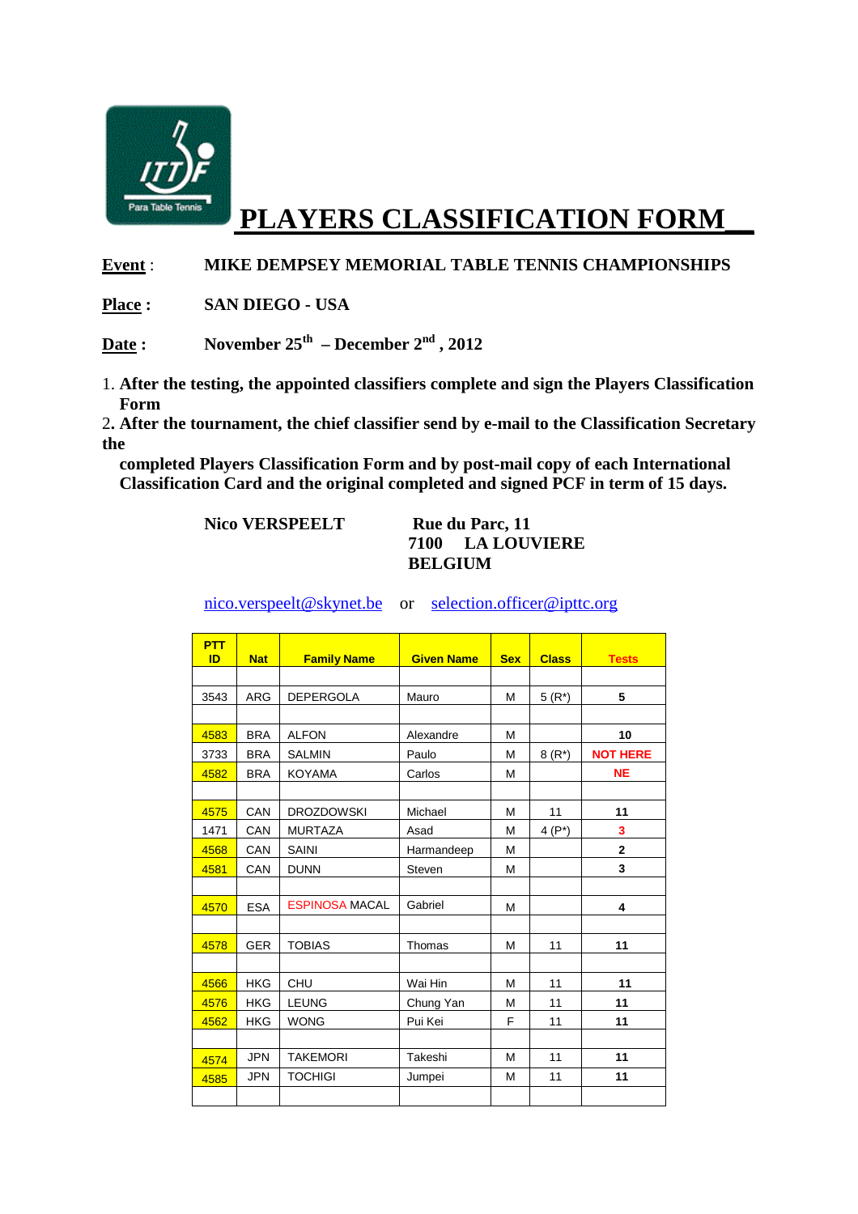

# **PLAYERS CLASSIFICATION FORM\_\_**

### **Event** : **MIKE DEMPSEY MEMORIAL TABLE TENNIS CHAMPIONSHIPS**

**Place : SAN DIEGO - USA** 

Date : November  $25^{th}$  – December  $2^{nd}$ ,  $2012$ 

1. **After the testing, the appointed classifiers complete and sign the Players Classification Form**

2**. After the tournament, the chief classifier send by e-mail to the Classification Secretary the** 

 **completed Players Classification Form and by post-mail copy of each International Classification Card and the original completed and signed PCF in term of 15 days.** 

### Nico VERSPEELT Rue du Parc, 11 **7100 LA LOUVIERE BELGIUM**

nico.verspeelt@skynet.be or selection.officer@ipttc.org

| <b>PTT</b><br>ID | <b>Nat</b> | <b>Family Name</b>    | <b>Given Name</b> | <b>Sex</b> | <b>Class</b> | <b>Tests</b>    |
|------------------|------------|-----------------------|-------------------|------------|--------------|-----------------|
|                  |            |                       |                   |            |              |                 |
| 3543             | <b>ARG</b> | DEPERGOLA             | Mauro             | M          | $5(R^*)$     | 5               |
|                  |            |                       |                   |            |              |                 |
| 4583             | <b>BRA</b> | <b>ALFON</b>          | Alexandre         | M          |              | 10              |
| 3733             | <b>BRA</b> | <b>SALMIN</b>         | Paulo             | M          | $8(R^*)$     | <b>NOT HERE</b> |
| 4582             | <b>BRA</b> | <b>KOYAMA</b>         | Carlos            | M          |              | <b>NE</b>       |
|                  |            |                       |                   |            |              |                 |
| 4575             | CAN        | <b>DROZDOWSKI</b>     | Michael           | M          | 11           | 11              |
| 1471             | CAN        | <b>MURTAZA</b>        | Asad              | M          | 4 $(P^*)$    | 3               |
| 4568             | CAN        | SAINI                 | Harmandeep        | M          |              | $\overline{2}$  |
| 4581             | CAN        | <b>DUNN</b>           | Steven            | M          |              | 3               |
|                  |            |                       |                   |            |              |                 |
| 4570             | <b>ESA</b> | <b>ESPINOSA MACAL</b> | Gabriel           | M          |              | 4               |
|                  |            |                       |                   |            |              |                 |
| 4578             | <b>GER</b> | <b>TOBIAS</b>         | Thomas            | M          | 11           | 11              |
|                  |            |                       |                   |            |              |                 |
| 4566             | <b>HKG</b> | CHU                   | Wai Hin           | M          | 11           | 11              |
| 4576             | <b>HKG</b> | <b>LEUNG</b>          | Chung Yan         | M          | 11           | 11              |
| 4562             | <b>HKG</b> | <b>WONG</b>           | Pui Kei           | F          | 11           | 11              |
|                  |            |                       |                   |            |              |                 |
| 4574             | <b>JPN</b> | <b>TAKEMORI</b>       | Takeshi           | M          | 11           | 11              |
| 4585             | <b>JPN</b> | <b>TOCHIGI</b>        | Jumpei            | М          | 11           | 11              |
|                  |            |                       |                   |            |              |                 |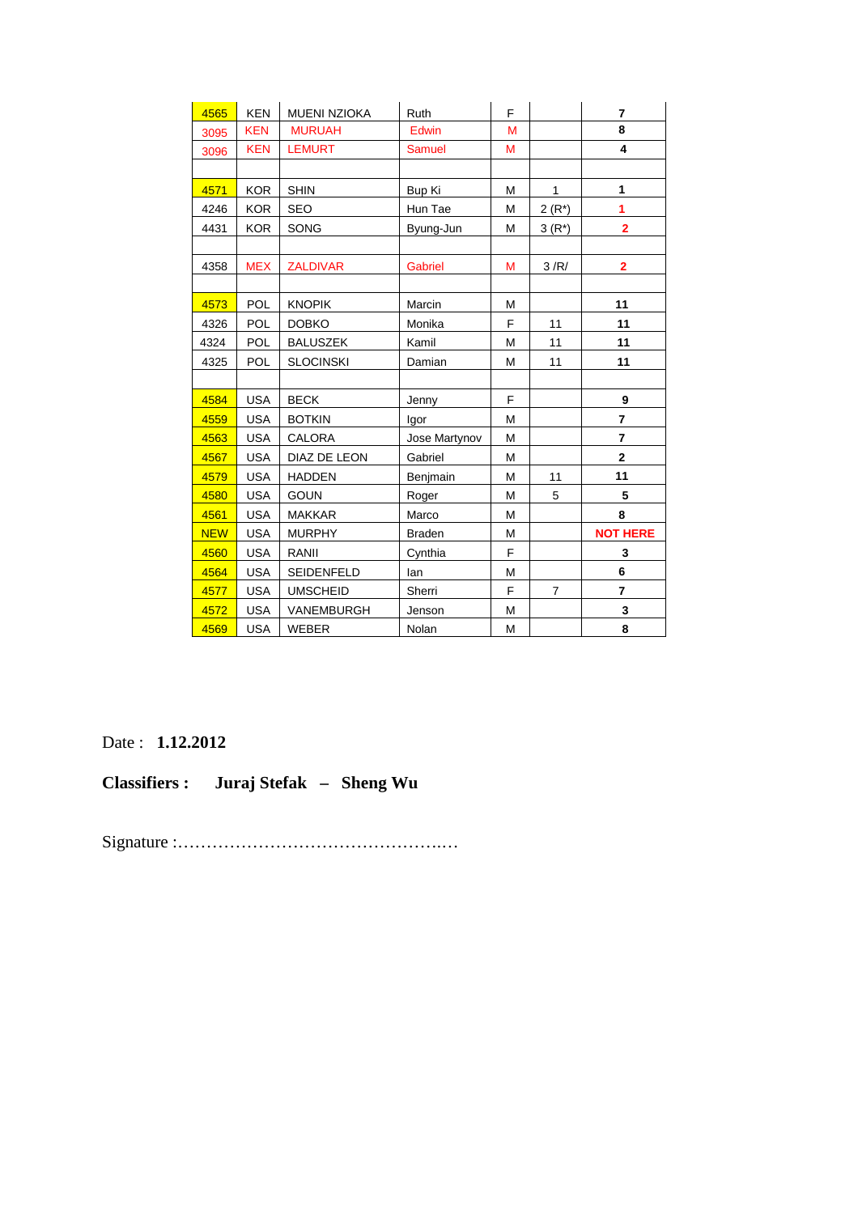| 4565       | <b>KEN</b> | <b>MUENI NZIOKA</b> | Ruth           | F |                | $\overline{7}$          |
|------------|------------|---------------------|----------------|---|----------------|-------------------------|
| 3095       | <b>KEN</b> | <b>MURUAH</b>       | Edwin          | M |                | 8                       |
| 3096       | <b>KEN</b> | <b>LEMURT</b>       | <b>Samuel</b>  | M |                | 4                       |
|            |            |                     |                |   |                |                         |
| 4571       | <b>KOR</b> | <b>SHIN</b>         | <b>Bup Ki</b>  | M | $\mathbf{1}$   | 1                       |
| 4246       | <b>KOR</b> | <b>SEO</b>          | Hun Tae        | M | $2(R^*)$       | 1                       |
| 4431       | <b>KOR</b> | SONG                | Byung-Jun      | M | $3(R*)$        | $\overline{\mathbf{2}}$ |
|            |            |                     |                |   |                |                         |
| 4358       | <b>MEX</b> | <b>ZALDIVAR</b>     | <b>Gabriel</b> | M | 3/R/           | 2                       |
|            |            |                     |                |   |                |                         |
| 4573       | <b>POL</b> | <b>KNOPIK</b>       | Marcin         | м |                | 11                      |
| 4326       | <b>POL</b> | <b>DOBKO</b>        | Monika         | F | 11             | 11                      |
| 4324       | <b>POL</b> | <b>BALUSZEK</b>     | Kamil          | M | 11             | 11                      |
| 4325       | POL        | <b>SLOCINSKI</b>    | Damian         | М | 11             | 11                      |
|            |            |                     |                |   |                |                         |
| 4584       | <b>USA</b> | <b>BECK</b>         | Jenny          | F |                | 9                       |
| 4559       | <b>USA</b> | <b>BOTKIN</b>       | lgor           | M |                | $\overline{7}$          |
| 4563       | <b>USA</b> | CALORA              | Jose Martynov  | M |                | $\overline{7}$          |
| 4567       | <b>USA</b> | DIAZ DE LEON        | Gabriel        | M |                | $\overline{2}$          |
| 4579       | <b>USA</b> | <b>HADDEN</b>       | Benjmain       | M | 11             | 11                      |
| 4580       | <b>USA</b> | <b>GOUN</b>         | Roger          | M | 5              | 5                       |
| 4561       | <b>USA</b> | <b>MAKKAR</b>       | Marco          | M |                | 8                       |
| <b>NEW</b> | <b>USA</b> | <b>MURPHY</b>       | <b>Braden</b>  | M |                | <b>NOT HERE</b>         |
| 4560       | <b>USA</b> | RANII               | Cynthia        | F |                | 3                       |
| 4564       | <b>USA</b> | SEIDENFELD          | lan            | M |                | 6                       |
| 4577       | <b>USA</b> | <b>UMSCHEID</b>     | Sherri         | F | $\overline{7}$ | $\overline{7}$          |
| 4572       | <b>USA</b> | VANEMBURGH          | Jenson         | M |                | 3                       |
| 4569       | <b>USA</b> | <b>WEBER</b>        | Nolan          | M |                | 8                       |

Date : **1.12.2012** 

**Classifiers : Juraj Stefak – Sheng Wu** 

Signature :……………………………………….…